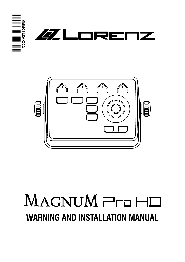





# MAGNUM ProHD **WARNING AND INSTALLATION MANUAL**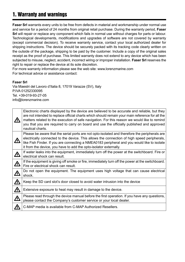# 1. Warranty and warnings

**Faser Srl** warrants every units to be free from defects in material and workmanship under normal use and service for a period of 24 months from original retail purchase. During the warranty period, **Faser Srl** will repair or replace any component which fails in normal use without charges for parts or labour. Technological developments, modifications and upgrades of software are not covered by warranty (except commercial decision). To receive warranty service, contact your local authorized dealer for shipping instructions. The device should be securely packed with its tracking code clearly written on the outside of the package, shipping to be paid by the customer. Include a copy of the original sales receipt as the proof of purchase. This limited warranty does not extend to any device which has been subjected to misuse, neglect, accident, incorrect wiring or improper installation. **Faser Srl** reserves the right to repair or replace the device at its sole discretion.

For more warranty information please see the web site: www.lorenzmarine.com For technical advice or assistance contact:

#### **Faser Srl**

Via Maestri del Lavoro d'Italia 8, 17019 Varazze (SV), Italy P.IVA 01252330095 Tel. +39-019-93-27-05 info@lorenzmarine.com

|           | Electronic charts displayed by the device are believed to be accurate and reliable, but they<br>are not intended to replace official charts which should remain your main reference for all the<br>matters related to the execution of safe navigation. For this reason we would like to remind<br>you that you are required to carry on board and use the officially published and approved<br>nautical charts. |
|-----------|------------------------------------------------------------------------------------------------------------------------------------------------------------------------------------------------------------------------------------------------------------------------------------------------------------------------------------------------------------------------------------------------------------------|
|           | Please be aware that the serial ports are not opto-isolated and therefore the peripherals are<br>electrically connected to the device. This allows the connection of high speed peripherals,<br>like Fish Finder. If you are connecting a NMEA0183 peripheral and you would like to isolate<br>it from the device, you have to add the opto-isolator externally.                                                 |
| 亼         | If water leaks into the equipment, immediately turn off the power at the switchboard. Fire or<br>electrical shock can result.                                                                                                                                                                                                                                                                                    |
| <u>ሉ</u>  | If the equipment is giving off smoke or fire, immediately turn off the power at the switchboard.<br>Fire or electrical shock can result.                                                                                                                                                                                                                                                                         |
|           | Do not open the equipment. The equipment uses high voltage that can cause electrical<br>shock.                                                                                                                                                                                                                                                                                                                   |
|           | Keep the SD card slot's door closed to avoid water intrusion into the device                                                                                                                                                                                                                                                                                                                                     |
| <u> 个</u> | Extensive exposure to heat may result in damage to the device.                                                                                                                                                                                                                                                                                                                                                   |
| <u>ሉ</u>  | Please read through the device manual before the first operation. If you have any questions,<br>please contact the Company's customer service or your local dealer.                                                                                                                                                                                                                                              |
|           | C-MAP media is available from C-MAP Authorized Resellers.                                                                                                                                                                                                                                                                                                                                                        |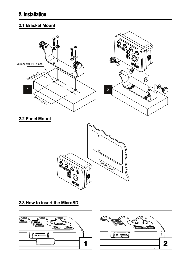## 2. Installation

## **2.1 Bracket Mount**



#### **2.3 How to insert the MicroSD**



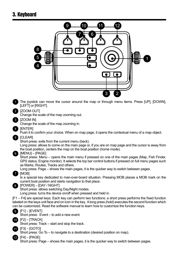## 3. Keyboard

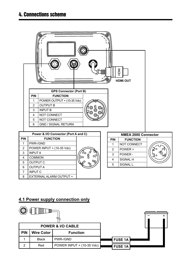|                |                                      | <b>GPS Connector (Port B)</b> |    |                       |                |                            | <b>INOH</b><br><b>HDMI OUT</b> |               |
|----------------|--------------------------------------|-------------------------------|----|-----------------------|----------------|----------------------------|--------------------------------|---------------|
|                | PIN                                  | <b>FUNCTION</b>               |    |                       |                |                            |                                |               |
|                | $\mathbf{1}$                         | POWER OUTPUT + (10-35 Vdc)    |    |                       |                |                            |                                |               |
|                | $\overline{2}$                       | <b>OUTPUT B</b>               |    |                       |                |                            |                                |               |
|                | 3                                    | <b>INPUT B</b>                |    | စ္စ<br>⊚<br>$\odot$ F |                |                            |                                |               |
|                | $\overline{4}$                       | NOT CONNECT                   |    | දිල                   |                |                            |                                |               |
|                | 5                                    | NOT CONNECT                   |    |                       |                |                            |                                |               |
|                | 6                                    | <b>GND / SIGNAL RETURN</b>    |    |                       |                |                            |                                |               |
|                |                                      |                               |    |                       |                |                            |                                |               |
|                | Power & I/O Connector (Port A and C) |                               |    |                       |                | <b>NMEA 2000 Connector</b> |                                |               |
| PIN            |                                      | <b>FUNCTION</b>               |    |                       |                | PIN                        | <b>FUNCTION</b>                |               |
| $\mathbf{1}$   | PWR-/GND                             |                               |    |                       |                | $\mathbf{1}$               | NOT CONNECT                    |               |
| 2              |                                      | POWER INPUT + (10-35 Vdc)     |    |                       |                | 2                          | POWER +                        | റ്            |
| 3              | <b>INPUTA</b>                        |                               |    |                       |                | 3                          | POWER -                        | $\frac{1}{2}$ |
| $\overline{4}$ | <b>COMMON</b>                        |                               | o, |                       | $\overline{4}$ | SIGNAL H                   |                                |               |
| 5              | <b>OUTPUT C</b>                      |                               |    |                       |                | 5                          | SIGNAL L                       |               |
| $6\phantom{1}$ |                                      | <b>OUTPUT A</b>               |    |                       |                |                            |                                |               |
| $\overline{7}$ | <b>INPUT C</b>                       |                               |    |                       |                |                            |                                |               |
| 8              | EXTERNAL ALARM OUTPUT +              |                               |    |                       |                |                            |                                |               |

### **4.1 Power supply connection only**

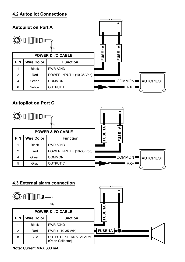#### **4.2 Autopilot Connections**



## **Autopilot on Port C**



#### **4.3 External alarm connection**



#### **Note:** Current MAX 300 mA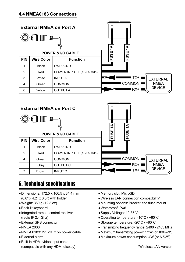

# 5. Technical specifications

- ●Dimensions: 172.5 x 106.5 x 84.4 mm (6.8'' x 4.2'' x 3.3'') with holder
- ●Weight: 350 g (12.3 oz)
- ●Back-lit keyboard
- ●Integrated remote control receiver (radio IF 2.4 Ghz)
- ●External GPS connector
- ●NMEA 2000
- ●NMEA 0183: 2x Rx/Tx on power cable
- ●External alarm
- ●Built-in HDMI video input cable (compatible with any HDMI display)
- ●Memory slot: MicroSD
- ●Wireless LAN connection compatibility\*
- ●Mounting options: Bracket and flush mount
- ●Waterproof IPX6
- ●Supply Voltage: 10-35 Vdc
- ●Operating temperature: -10°C / +60°C
- ●Storage temperature: -20°C / +80°C
- ●Transmitting frequency range: 2400 2483 MHz
- ●Maximum transmitting power: 1mW (or 100mW\*)
- ●Maximum power consumption: 4W (or 6.5W\*)